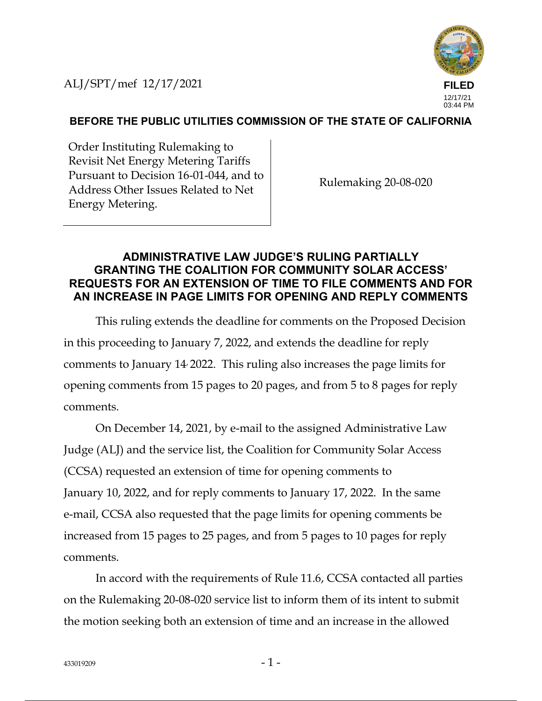ALJ/SPT/mef 12/17/2021



## **BEFORE THE PUBLIC UTILITIES COMMISSION OF THE STATE OF CALIFORNIA**

Order Instituting Rulemaking to Revisit Net Energy Metering Tariffs Pursuant to Decision 16-01-044, and to Address Other Issues Related to Net Energy Metering.

Rulemaking 20-08-020

## **ADMINISTRATIVE LAW JUDGE'S RULING PARTIALLY GRANTING THE COALITION FOR COMMUNITY SOLAR ACCESS' REQUESTS FOR AN EXTENSION OF TIME TO FILE COMMENTS AND FOR AN INCREASE IN PAGE LIMITS FOR OPENING AND REPLY COMMENTS**

This ruling extends the deadline for comments on the Proposed Decision in this proceeding to January 7, 2022, and extends the deadline for reply comments to January 14, 2022. This ruling also increases the page limits for opening comments from 15 pages to 20 pages, and from 5 to 8 pages for reply comments.

On December 14, 2021, by e-mail to the assigned Administrative Law Judge (ALJ) and the service list, the Coalition for Community Solar Access (CCSA) requested an extension of time for opening comments to January 10, 2022, and for reply comments to January 17, 2022. In the same e-mail, CCSA also requested that the page limits for opening comments be increased from 15 pages to 25 pages, and from 5 pages to 10 pages for reply comments.

In accord with the requirements of Rule 11.6, CCSA contacted all parties on the Rulemaking 20-08-020 service list to inform them of its intent to submit the motion seeking both an extension of time and an increase in the allowed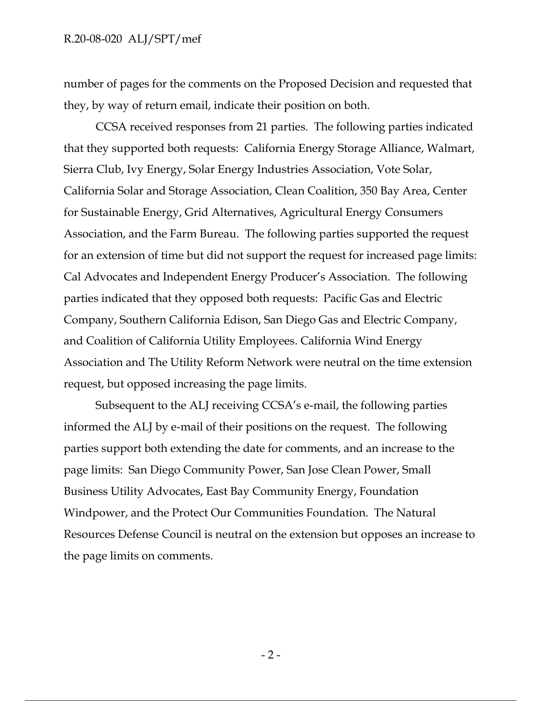number of pages for the comments on the Proposed Decision and requested that they, by way of return email, indicate their position on both.

CCSA received responses from 21 parties. The following parties indicated that they supported both requests: California Energy Storage Alliance, Walmart, Sierra Club, Ivy Energy, Solar Energy Industries Association, Vote Solar, California Solar and Storage Association, Clean Coalition, 350 Bay Area, Center for Sustainable Energy, Grid Alternatives, Agricultural Energy Consumers Association, and the Farm Bureau. The following parties supported the request for an extension of time but did not support the request for increased page limits: Cal Advocates and Independent Energy Producer's Association. The following parties indicated that they opposed both requests: Pacific Gas and Electric Company, Southern California Edison, San Diego Gas and Electric Company, and Coalition of California Utility Employees. California Wind Energy Association and The Utility Reform Network were neutral on the time extension request, but opposed increasing the page limits.

Subsequent to the ALJ receiving CCSA's e-mail, the following parties informed the ALJ by e-mail of their positions on the request. The following parties support both extending the date for comments, and an increase to the page limits: San Diego Community Power, San Jose Clean Power, Small Business Utility Advocates, East Bay Community Energy, Foundation Windpower, and the Protect Our Communities Foundation. The Natural Resources Defense Council is neutral on the extension but opposes an increase to the page limits on comments.

 $-2 -$